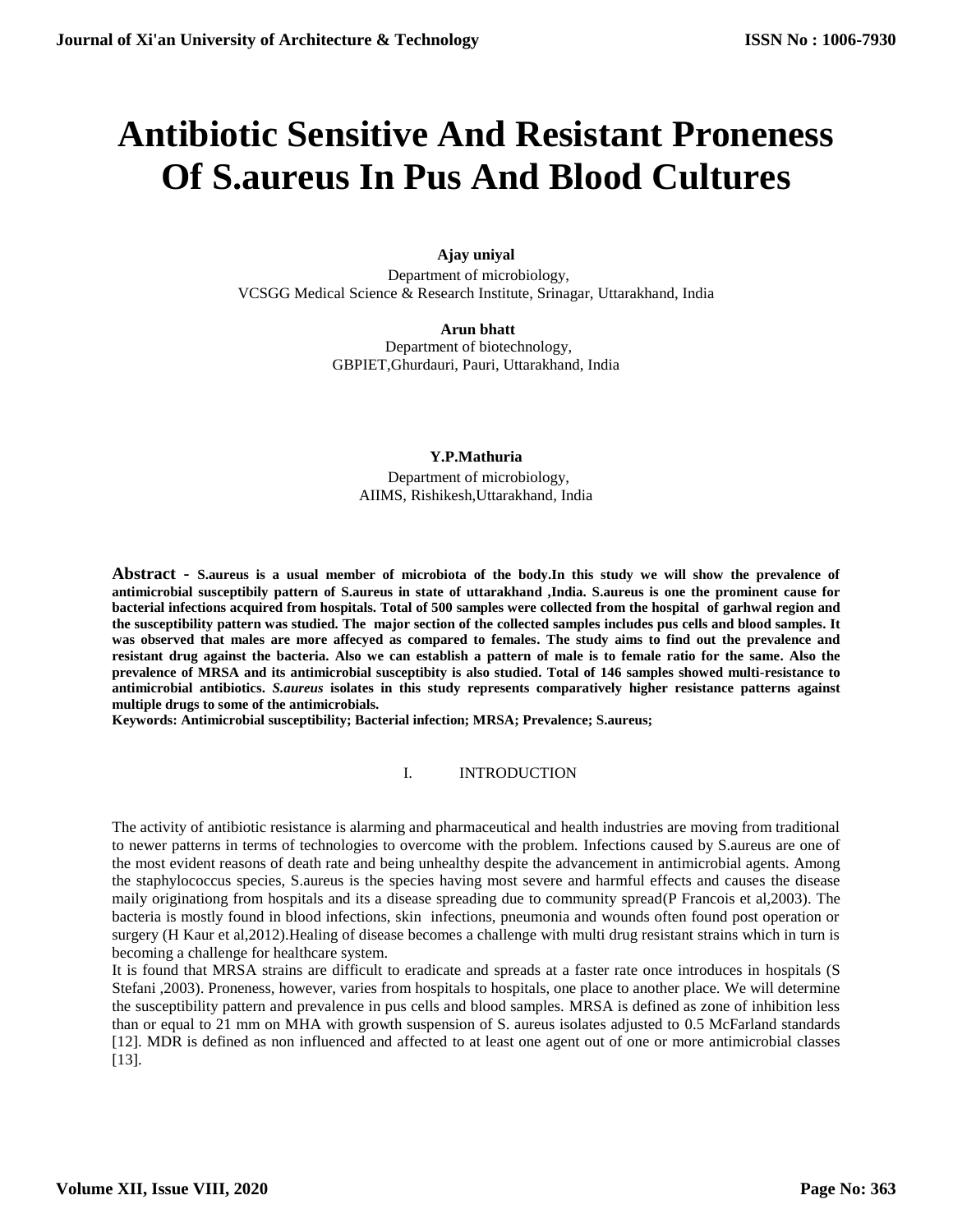# **Antibiotic Sensitive And Resistant Proneness Of S.aureus In Pus And Blood Cultures**

## **Ajay uniyal**

Department of microbiology, VCSGG Medical Science & Research Institute, Srinagar, Uttarakhand, India

> **Arun bhatt** Department of biotechnology, GBPIET,Ghurdauri, Pauri, Uttarakhand, India

#### **[Y.P.Mathuria](mailto:arun.bhatt@%20rediffmail.com%20%20%20%20Y.P.Mathuria%20%20Department%20of%20microbiology,%20AIIMS,%20Rishikesh,Uttarakhand,%20Indiaypm.1702@%20yahoo.com)**

Department of microbiology, [AIIMS, Rishikesh,Uttarakhand, India](mailto:arun.bhatt@%20rediffmail.com%20%20%20%20Y.P.Mathuria%20%20Department%20of%20microbiology,%20AIIMS,%20Rishikesh,Uttarakhand,%20Indiaypm.1702@%20yahoo.com)

**Abstract - S.aureus is a usual member of microbiota of the body.In this study we will show the prevalence of antimicrobial susceptibily pattern of S.aureus in state of uttarakhand ,India. S.aureus is one the prominent cause for bacterial infections acquired from hospitals. Total of 500 samples were collected from the hospital of garhwal region and the susceptibility pattern was studied. The major section of the collected samples includes pus cells and blood samples. It was observed that males are more affecyed as compared to females. The study aims to find out the prevalence and resistant drug against the bacteria. Also we can establish a pattern of male is to female ratio for the same. Also the prevalence of MRSA and its antimicrobial susceptibity is also studied. Total of 146 samples showed multi-resistance to antimicrobial antibiotics.** *S.aureus* **isolates in this study represents comparatively higher resistance patterns against multiple drugs to some of the antimicrobials.**

**Keywords: Antimicrobial susceptibility; Bacterial infection; MRSA; Prevalence; S.aureus;** 

## I. INTRODUCTION

The activity of antibiotic resistance is alarming and pharmaceutical and health industries are moving from traditional to newer patterns in terms of technologies to overcome with the problem. Infections caused by S.aureus are one of the most evident reasons of death rate and being unhealthy despite the advancement in antimicrobial agents. Among the staphylococcus species, S.aureus is the species having most severe and harmful effects and causes the disease maily originationg from hospitals and its a disease spreading due to community spread(P Francois et al,2003). The bacteria is mostly found in blood infections, skin infections, pneumonia and wounds often found post operation or surgery (H Kaur et al,2012).Healing of disease becomes a challenge with multi drug resistant strains which in turn is becoming a challenge for healthcare system.

It is found that MRSA strains are difficult to eradicate and spreads at a faster rate once introduces in hospitals (S Stefani ,2003). Proneness, however, varies from hospitals to hospitals, one place to another place. We will determine the susceptibility pattern and prevalence in pus cells and blood samples. MRSA is defined as zone of inhibition less than or equal to 21 mm on MHA with growth suspension of S. aureus isolates adjusted to 0.5 McFarland standards [12]. MDR is defined as non influenced and affected to at least one agent out of one or more antimicrobial classes [13].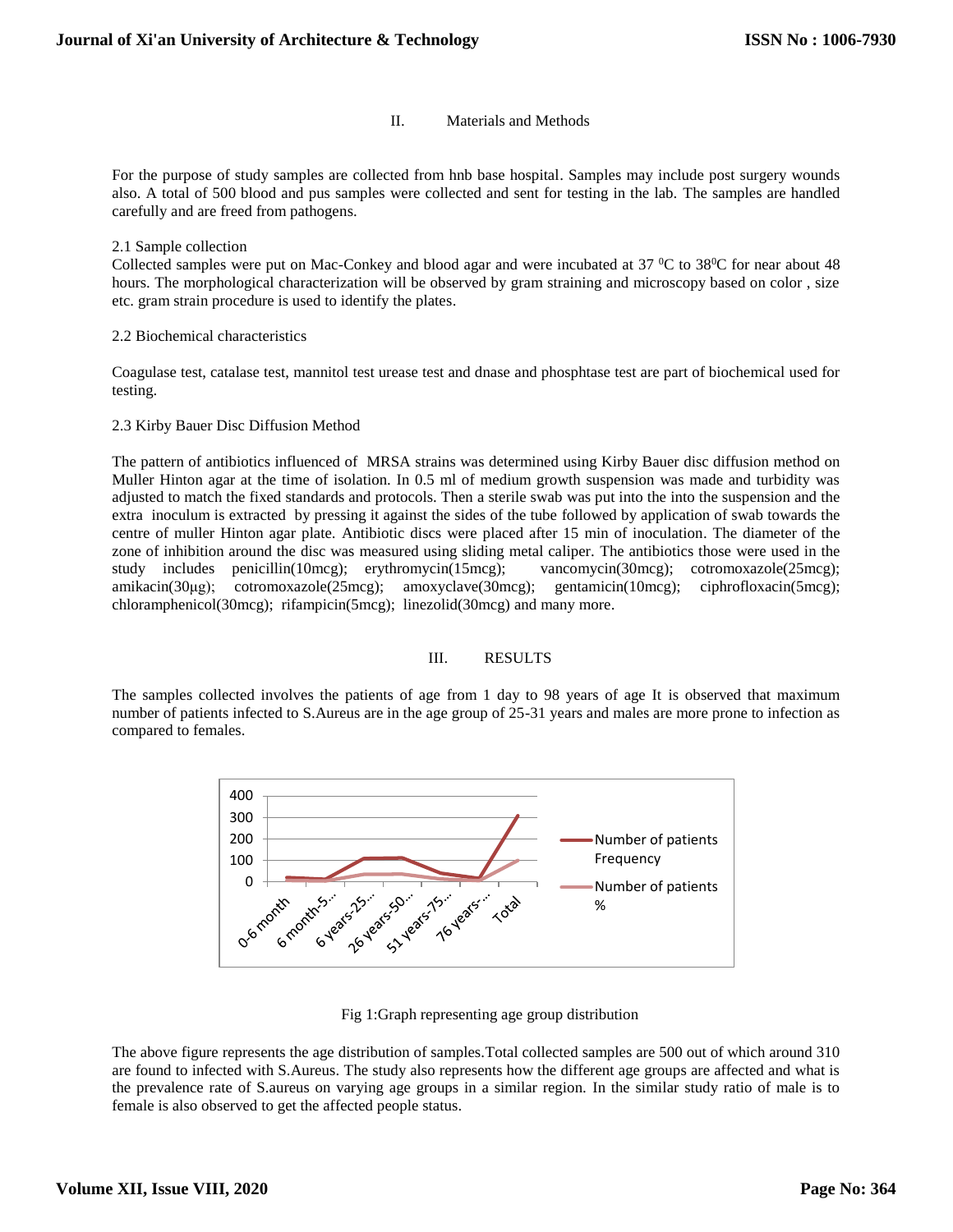#### II. Materials and Methods

For the purpose of study samples are collected from hnb base hospital. Samples may include post surgery wounds also. A total of 500 blood and pus samples were collected and sent for testing in the lab. The samples are handled carefully and are freed from pathogens.

#### 2.1 Sample collection

Collected samples were put on Mac-Conkey and blood agar and were incubated at  $37\,^{\circ}\text{C}$  to  $38\,^{\circ}\text{C}$  for near about 48 hours. The morphological characterization will be observed by gram straining and microscopy based on color , size etc. gram strain procedure is used to identify the plates.

#### 2.2 Biochemical characteristics

Coagulase test, catalase test, mannitol test urease test and dnase and phosphtase test are part of biochemical used for testing.

#### 2.3 Kirby Bauer Disc Diffusion Method

The pattern of antibiotics influenced of MRSA strains was determined using Kirby Bauer disc diffusion method on Muller Hinton agar at the time of isolation. In 0.5 ml of medium growth suspension was made and turbidity was adjusted to match the fixed standards and protocols. Then a sterile swab was put into the into the suspension and the extra inoculum is extracted by pressing it against the sides of the tube followed by application of swab towards the centre of muller Hinton agar plate. Antibiotic discs were placed after 15 min of inoculation. The diameter of the zone of inhibition around the disc was measured using sliding metal caliper. The antibiotics those were used in the study includes penicillin(10mcg); erythromycin(15mcg); vancomycin(30mcg); cotromoxazole(25mcg); amikacin(30μg); cotromoxazole(25mcg); amoxyclave(30mcg); gentamicin(10mcg); ciphrofloxacin(5mcg); chloramphenicol(30mcg); rifampicin(5mcg); linezolid(30mcg) and many more.

## III. RESULTS

The samples collected involves the patients of age from 1 day to 98 years of age It is observed that maximum number of patients infected to S.Aureus are in the age group of 25-31 years and males are more prone to infection as compared to females.



#### Fig 1:Graph representing age group distribution

The above figure represents the age distribution of samples.Total collected samples are 500 out of which around 310 are found to infected with S.Aureus. The study also represents how the different age groups are affected and what is the prevalence rate of S.aureus on varying age groups in a similar region. In the similar study ratio of male is to female is also observed to get the affected people status.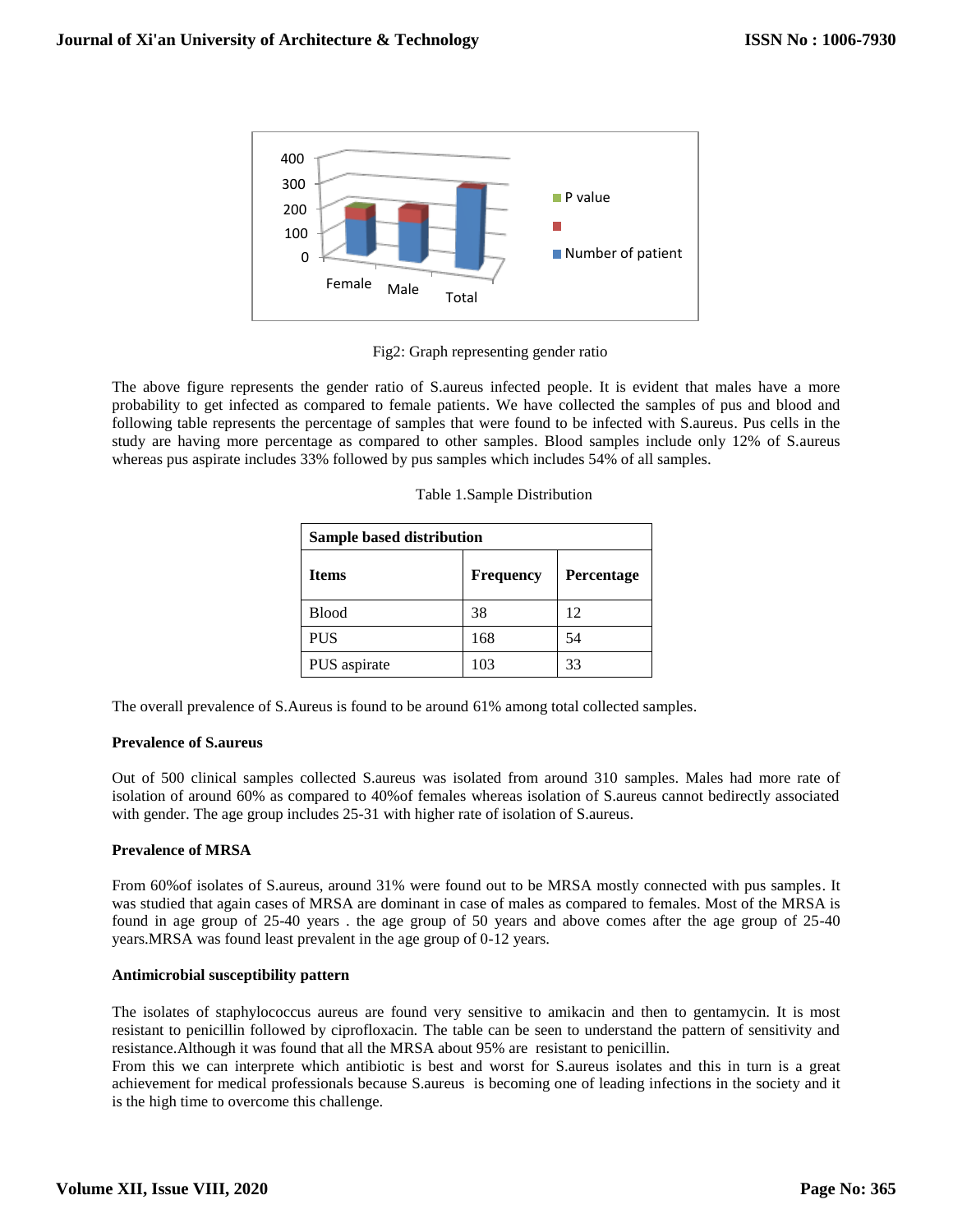

Fig2: Graph representing gender ratio

The above figure represents the gender ratio of S.aureus infected people. It is evident that males have a more probability to get infected as compared to female patients. We have collected the samples of pus and blood and following table represents the percentage of samples that were found to be infected with S.aureus. Pus cells in the study are having more percentage as compared to other samples. Blood samples include only 12% of S.aureus whereas pus aspirate includes 33% followed by pus samples which includes 54% of all samples.

| Sample based distribution |                  |            |  |
|---------------------------|------------------|------------|--|
| <b>Items</b>              | <b>Frequency</b> | Percentage |  |
| <b>Blood</b>              | 38               | 12         |  |
| <b>PUS</b>                | 168              | 54         |  |
| PUS aspirate              | 103              | 33         |  |

The overall prevalence of S.Aureus is found to be around 61% among total collected samples.

#### **Prevalence of S.aureus**

Out of 500 clinical samples collected S.aureus was isolated from around 310 samples. Males had more rate of isolation of around 60% as compared to 40%of females whereas isolation of S.aureus cannot bedirectly associated with gender. The age group includes 25-31 with higher rate of isolation of S.aureus.

## **Prevalence of MRSA**

From 60%of isolates of S.aureus, around 31% were found out to be MRSA mostly connected with pus samples. It was studied that again cases of MRSA are dominant in case of males as compared to females. Most of the MRSA is found in age group of 25-40 years . the age group of 50 years and above comes after the age group of 25-40 years.MRSA was found least prevalent in the age group of 0-12 years.

#### **Antimicrobial susceptibility pattern**

The isolates of staphylococcus aureus are found very sensitive to amikacin and then to gentamycin. It is most resistant to penicillin followed by ciprofloxacin. The table can be seen to understand the pattern of sensitivity and resistance.Although it was found that all the MRSA about 95% are resistant to penicillin.

From this we can interprete which antibiotic is best and worst for S.aureus isolates and this in turn is a great achievement for medical professionals because S.aureus is becoming one of leading infections in the society and it is the high time to overcome this challenge.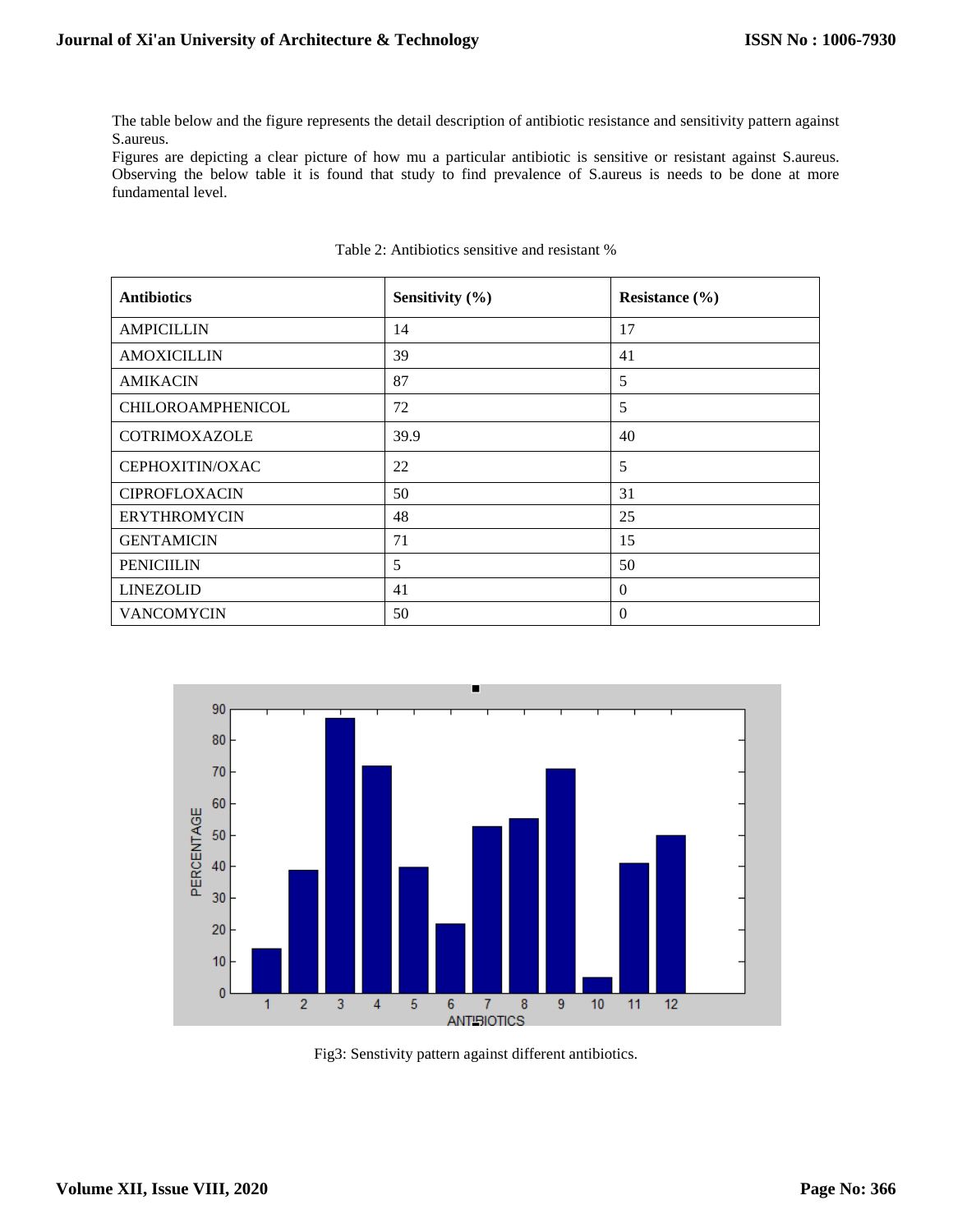The table below and the figure represents the detail description of antibiotic resistance and sensitivity pattern against S.aureus.

Figures are depicting a clear picture of how mu a particular antibiotic is sensitive or resistant against S.aureus. Observing the below table it is found that study to find prevalence of S.aureus is needs to be done at more fundamental level.

| <b>Antibiotics</b>       | Sensitivity (%) | Resistance $(\% )$ |
|--------------------------|-----------------|--------------------|
| <b>AMPICILLIN</b>        | 14              | 17                 |
| <b>AMOXICILLIN</b>       | 39              | 41                 |
| <b>AMIKACIN</b>          | 87              | 5                  |
| <b>CHILOROAMPHENICOL</b> | 72              | 5                  |
| <b>COTRIMOXAZOLE</b>     | 39.9            | 40                 |
| CEPHOXITIN/OXAC          | 22              | 5                  |
| <b>CIPROFLOXACIN</b>     | 50              | 31                 |
| <b>ERYTHROMYCIN</b>      | 48              | 25                 |
| <b>GENTAMICIN</b>        | 71              | 15                 |
| <b>PENICIILIN</b>        | 5               | 50                 |
| <b>LINEZOLID</b>         | 41              | $\theta$           |
| <b>VANCOMYCIN</b>        | 50              | $\Omega$           |

#### Table 2: Antibiotics sensitive and resistant %



Fig3: Senstivity pattern against different antibiotics.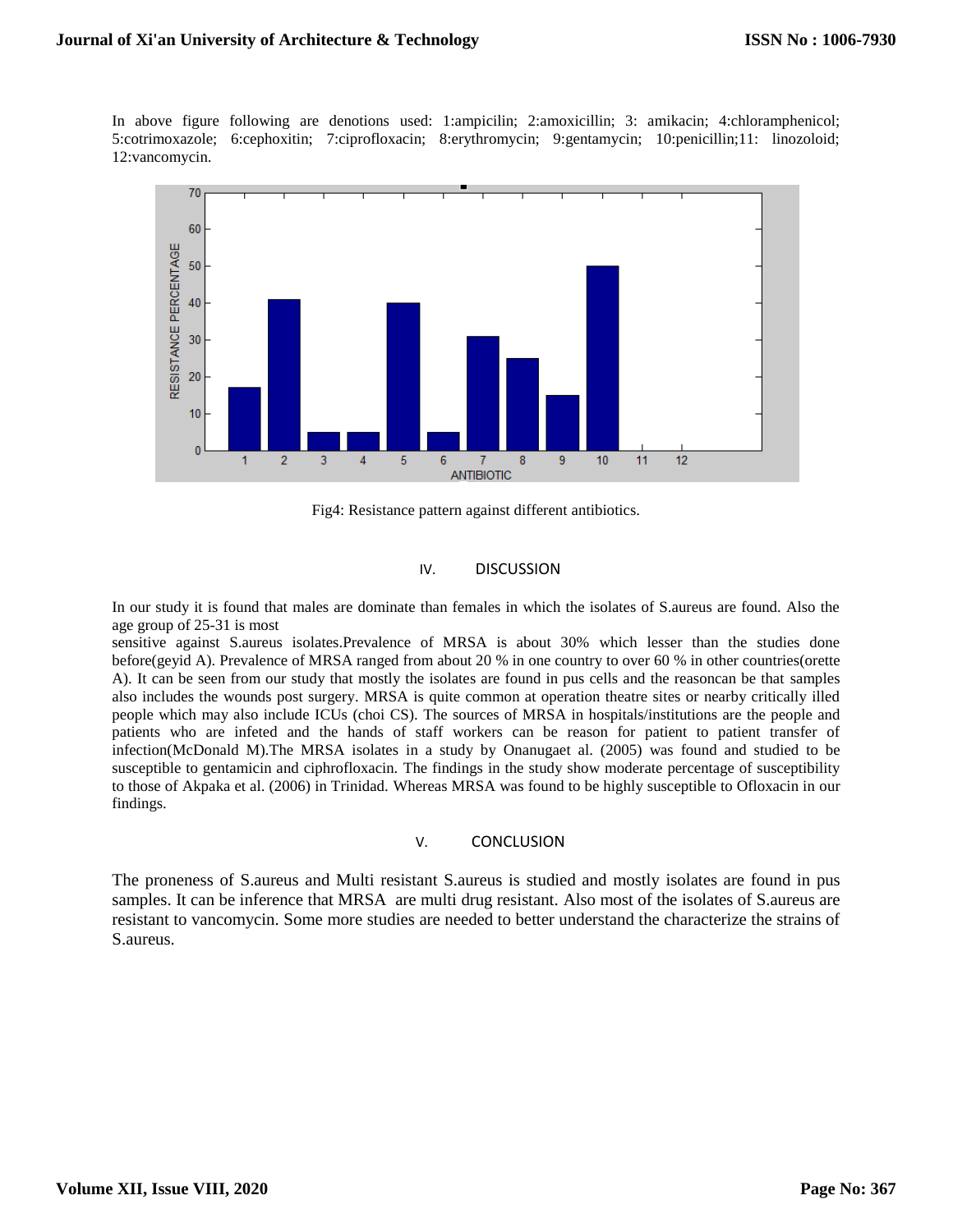In above figure following are denotions used: 1:ampicilin; 2:amoxicillin; 3: amikacin; 4:chloramphenicol; 5:cotrimoxazole; 6:cephoxitin; 7:ciprofloxacin; 8:erythromycin; 9:gentamycin; 10:penicillin;11: linozoloid; 12:vancomycin.



Fig4: Resistance pattern against different antibiotics.

#### IV. DISCUSSION

In our study it is found that males are dominate than females in which the isolates of S.aureus are found. Also the age group of 25-31 is most

sensitive against S.aureus isolates.Prevalence of MRSA is about 30% which lesser than the studies done before(geyid A). Prevalence of MRSA ranged from about 20 % in one country to over 60 % in other countries(orette A). It can be seen from our study that mostly the isolates are found in pus cells and the reasoncan be that samples also includes the wounds post surgery. MRSA is quite common at operation theatre sites or nearby critically illed people which may also include ICUs (choi CS). The sources of MRSA in hospitals/institutions are the people and patients who are infeted and the hands of staff workers can be reason for patient to patient transfer of infection(McDonald M).The MRSA isolates in a study by Onanugaet al. (2005) was found and studied to be susceptible to gentamicin and ciphrofloxacin. The findings in the study show moderate percentage of susceptibility to those of Akpaka et al. (2006) in Trinidad. Whereas MRSA was found to be highly susceptible to Ofloxacin in our findings.

#### V. CONCLUSION

The proneness of S.aureus and Multi resistant S.aureus is studied and mostly isolates are found in pus samples. It can be inference that MRSA are multi drug resistant. Also most of the isolates of S. aureus are resistant to vancomycin. Some more studies are needed to better understand the characterize the strains of S.aureus.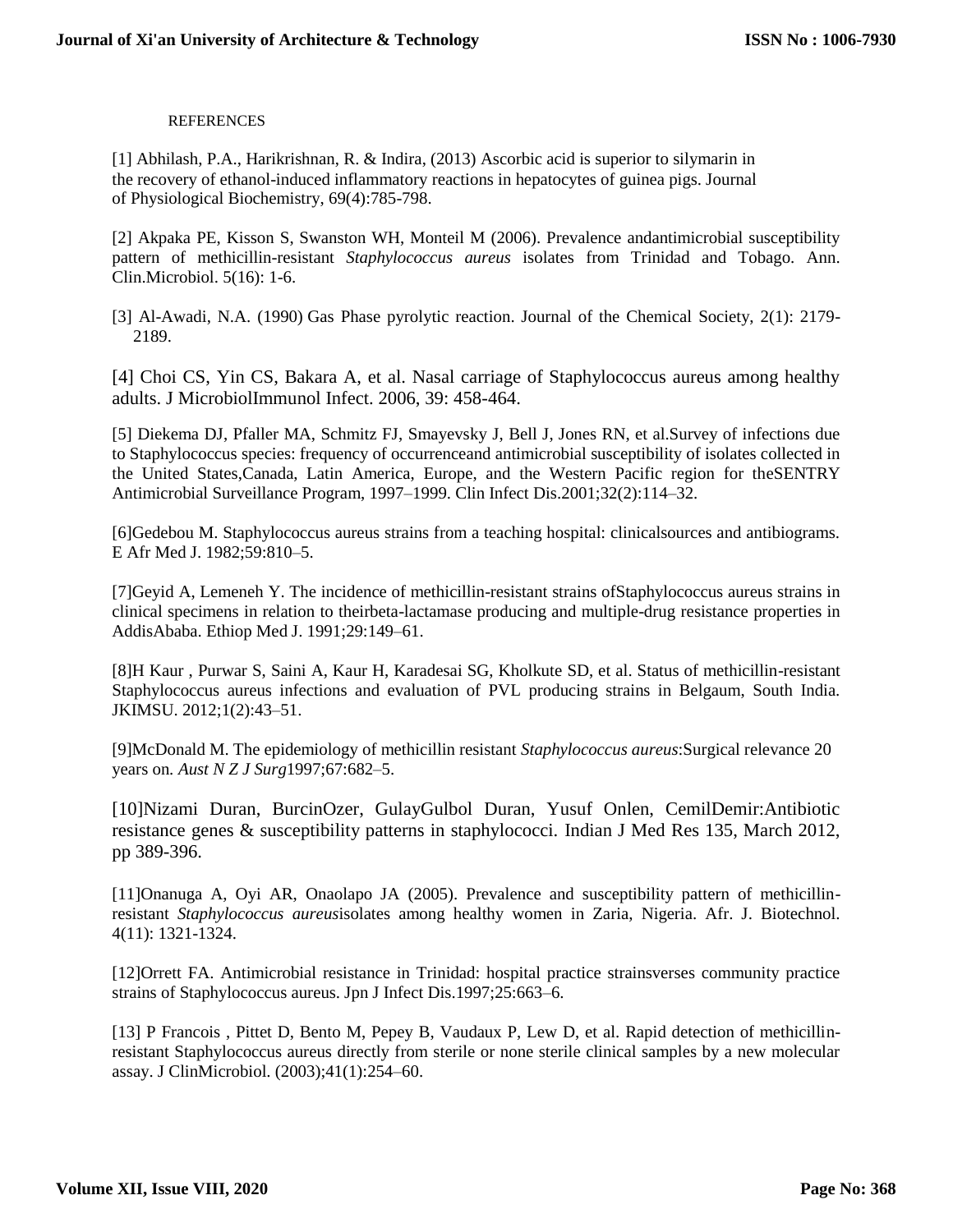## **REFERENCES**

[1] Abhilash, P.A., Harikrishnan, R. & Indira, (2013) Ascorbic acid is superior to silymarin in the recovery of ethanol-induced inflammatory reactions in hepatocytes of guinea pigs. Journal of Physiological Biochemistry, 69(4):785-798.

[2] Akpaka PE, Kisson S, Swanston WH, Monteil M (2006). Prevalence andantimicrobial susceptibility pattern of methicillin-resistant *Staphylococcus aureus* isolates from Trinidad and Tobago. Ann. Clin.Microbiol. 5(16): 1-6.

[3] Al-Awadi, N.A. (1990) Gas Phase pyrolytic reaction. Journal of the Chemical Society, 2(1): 2179- 2189.

[4] Choi CS, Yin CS, Bakara A, et al. Nasal carriage of Staphylococcus aureus among healthy adults. J MicrobiolImmunol Infect. 2006, 39: 458-464.

[5] Diekema DJ, Pfaller MA, Schmitz FJ, Smayevsky J, Bell J, Jones RN, et al.Survey of infections due to Staphylococcus species: frequency of occurrenceand antimicrobial susceptibility of isolates collected in the United States,Canada, Latin America, Europe, and the Western Pacific region for theSENTRY Antimicrobial Surveillance Program, 1997–1999. Clin Infect Dis.2001;32(2):114–32.

[6]Gedebou M. Staphylococcus aureus strains from a teaching hospital: clinicalsources and antibiograms. E Afr Med J. 1982;59:810–5.

[7]Geyid A, Lemeneh Y. The incidence of methicillin-resistant strains ofStaphylococcus aureus strains in clinical specimens in relation to theirbeta-lactamase producing and multiple-drug resistance properties in AddisAbaba. Ethiop Med J. 1991;29:149–61.

[8]H Kaur , Purwar S, Saini A, Kaur H, Karadesai SG, Kholkute SD, et al. Status of methicillin-resistant Staphylococcus aureus infections and evaluation of PVL producing strains in Belgaum, South India. JKIMSU. 2012;1(2):43–51.

[9]McDonald M. The epidemiology of methicillin resistant *Staphylococcus aureus*:Surgical relevance 20 years on*. Aust N Z J Surg*1997;67:682–5.

[10]Nizami Duran, BurcinOzer, GulayGulbol Duran, Yusuf Onlen, CemilDemir:Antibiotic resistance genes & susceptibility patterns in staphylococci. Indian J Med Res 135, March 2012, pp 389-396.

[11]Onanuga A, Oyi AR, Onaolapo JA (2005). Prevalence and susceptibility pattern of methicillinresistant *Staphylococcus aureus*isolates among healthy women in Zaria, Nigeria. Afr. J. Biotechnol. 4(11): 1321-1324.

[12]Orrett FA. Antimicrobial resistance in Trinidad: hospital practice strainsverses community practice strains of Staphylococcus aureus. Jpn J Infect Dis.1997;25:663–6.

[13] P Francois , Pittet D, Bento M, Pepey B, Vaudaux P, Lew D, et al. Rapid detection of methicillinresistant Staphylococcus aureus directly from sterile or none sterile clinical samples by a new molecular assay. J ClinMicrobiol. (2003);41(1):254–60.